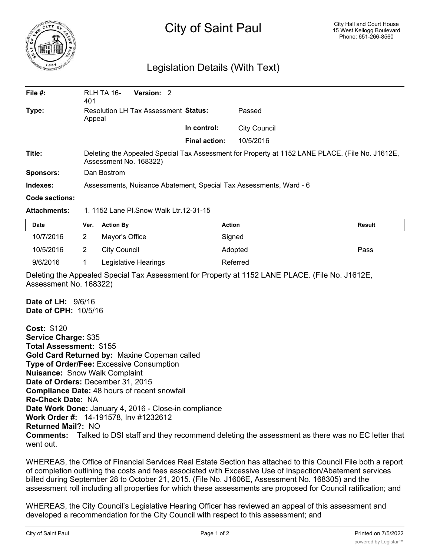

## City of Saint Paul

## Legislation Details (With Text)

| File $#$ :       | RLH TA 16-<br>401                                                                                                         | Version: 2 |  |                      |                     |  |  |
|------------------|---------------------------------------------------------------------------------------------------------------------------|------------|--|----------------------|---------------------|--|--|
| Type:            | Resolution LH Tax Assessment Status:<br>Appeal                                                                            |            |  |                      | Passed              |  |  |
|                  |                                                                                                                           |            |  | In control:          | <b>City Council</b> |  |  |
|                  |                                                                                                                           |            |  | <b>Final action:</b> | 10/5/2016           |  |  |
| Title:           | Deleting the Appealed Special Tax Assessment for Property at 1152 LANE PLACE. (File No. J1612E,<br>Assessment No. 168322) |            |  |                      |                     |  |  |
| <b>Sponsors:</b> | Dan Bostrom                                                                                                               |            |  |                      |                     |  |  |
| Indexes:         | Assessments, Nuisance Abatement, Special Tax Assessments, Ward - 6                                                        |            |  |                      |                     |  |  |
| Code sections:   |                                                                                                                           |            |  |                      |                     |  |  |

**Attachments:** 1. 1152 Lane Pl.Snow Walk Ltr.12-31-15

| Date      | Ver. | <b>Action By</b>     | <b>Action</b> | <b>Result</b> |
|-----------|------|----------------------|---------------|---------------|
| 10/7/2016 |      | Mayor's Office       | Signed        |               |
| 10/5/2016 |      | City Council         | Adopted       | Pass          |
| 9/6/2016  |      | Legislative Hearings | Referred      |               |

Deleting the Appealed Special Tax Assessment for Property at 1152 LANE PLACE. (File No. J1612E, Assessment No. 168322)

**Date of LH:** 9/6/16 **Date of CPH:** 10/5/16

**Cost:** \$120 **Service Charge:** \$35 **Total Assessment:** \$155 **Gold Card Returned by:** Maxine Copeman called **Type of Order/Fee:** Excessive Consumption **Nuisance:** Snow Walk Complaint **Date of Orders:** December 31, 2015 **Compliance Date:** 48 hours of recent snowfall **Re-Check Date:** NA **Date Work Done:** January 4, 2016 - Close-in compliance **Work Order #:** 14-191578, Inv #1232612 **Returned Mail?:** NO **Comments:** Talked to DSI staff and they recommend deleting the assessment as there was no EC letter that went out.

WHEREAS, the Office of Financial Services Real Estate Section has attached to this Council File both a report of completion outlining the costs and fees associated with Excessive Use of Inspection/Abatement services billed during September 28 to October 21, 2015. (File No. J1606E, Assessment No. 168305) and the assessment roll including all properties for which these assessments are proposed for Council ratification; and

WHEREAS, the City Council's Legislative Hearing Officer has reviewed an appeal of this assessment and developed a recommendation for the City Council with respect to this assessment; and